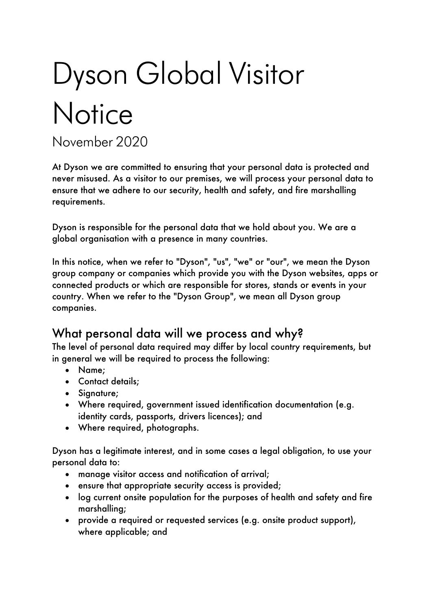# Dyson Global Visitor **Notice**

November 2020

At Dyson we are committed to ensuring that your personal data is protected and never misused. As a visitor to our premises, we will process your personal data to ensure that we adhere to our security, health and safety, and fire marshalling requirements.

Dyson is responsible for the personal data that we hold about you. We are a global organisation with a presence in many countries.

In this notice, when we refer to "Dyson", "us", "we" or "our", we mean the Dyson group company or companies which provide you with the Dyson websites, apps or connected products or which are responsible for stores, stands or events in your country. When we refer to the "Dyson Group", we mean all Dyson group companies.

#### What personal data will we process and why?

The level of personal data required may differ by local country requirements, but in general we will be required to process the following:

- Name;
- Contact details;
- Signature;
- Where required, government issued identification documentation (e.g. identity cards, passports, drivers licences); and
- Where required, photographs.

Dyson has a legitimate interest, and in some cases a legal obligation, to use your personal data to:

- manage visitor access and notification of arrival;
- ensure that appropriate security access is provided;
- log current onsite population for the purposes of health and safety and fire marshalling;
- provide a required or requested services (e.g. onsite product support), where applicable; and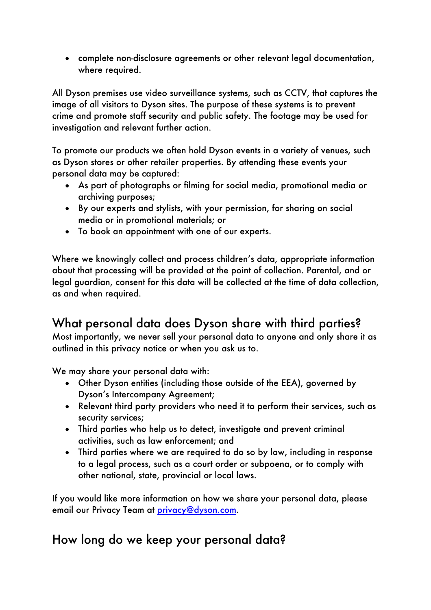• complete non-disclosure agreements or other relevant legal documentation, where required.

All Dyson premises use video surveillance systems, such as CCTV, that captures the image of all visitors to Dyson sites. The purpose of these systems is to prevent crime and promote staff security and public safety. The footage may be used for investigation and relevant further action.

To promote our products we often hold Dyson events in a variety of venues, such as Dyson stores or other retailer properties. By attending these events your personal data may be captured:

- As part of photographs or filming for social media, promotional media or archiving purposes;
- By our experts and stylists, with your permission, for sharing on social media or in promotional materials; or
- To book an appointment with one of our experts.

Where we knowingly collect and process children's data, appropriate information about that processing will be provided at the point of collection. Parental, and or legal guardian, consent for this data will be collected at the time of data collection, as and when required.

## What personal data does Dyson share with third parties?

Most importantly, we never sell your personal data to anyone and only share it as outlined in this privacy notice or when you ask us to.

We may share your personal data with:

- Other Dyson entities (including those outside of the EEA), governed by Dyson's Intercompany Agreement;
- Relevant third party providers who need it to perform their services, such as security services;
- Third parties who help us to detect, investigate and prevent criminal activities, such as law enforcement; and
- Third parties where we are required to do so by law, including in response to a legal process, such as a court order or subpoena, or to comply with other national, state, provincial or local laws.

If you would like more information on how we share your personal data, please email our Privacy Team at privacy@dyson.com.

## How long do we keep your personal data?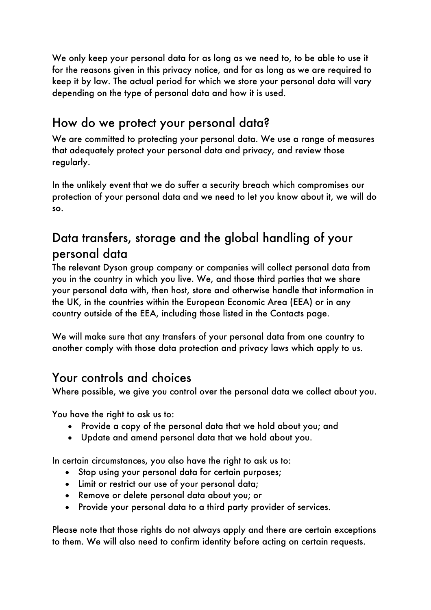We only keep your personal data for as long as we need to, to be able to use it for the reasons given in this privacy notice, and for as long as we are required to keep it by law. The actual period for which we store your personal data will vary depending on the type of personal data and how it is used.

# How do we protect your personal data?

We are committed to protecting your personal data. We use a range of measures that adequately protect your personal data and privacy, and review those regularly.

In the unlikely event that we do suffer a security breach which compromises our protection of your personal data and we need to let you know about it, we will do so.

## Data transfers, storage and the global handling of your personal data

The relevant Dyson group company or companies will collect personal data from you in the country in which you live. We, and those third parties that we share your personal data with, then host, store and otherwise handle that information in the UK, in the countries within the European Economic Area (EEA) or in any country outside of the EEA, including those listed in the Contacts page.

We will make sure that any transfers of your personal data from one country to another comply with those data protection and privacy laws which apply to us.

## Your controls and choices

Where possible, we give you control over the personal data we collect about you.

You have the right to ask us to:

- Provide a copy of the personal data that we hold about you; and
- Update and amend personal data that we hold about you.

In certain circumstances, you also have the right to ask us to:

- Stop using your personal data for certain purposes;
- Limit or restrict our use of your personal data;
- Remove or delete personal data about you; or
- Provide your personal data to a third party provider of services.

Please note that those rights do not always apply and there are certain exceptions to them. We will also need to confirm identity before acting on certain requests.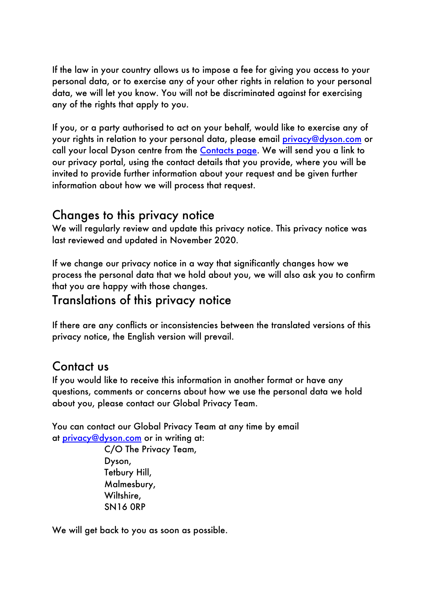If the law in your country allows us to impose a fee for giving you access to your personal data, or to exercise any of your other rights in relation to your personal data, we will let you know. You will not be discriminated against for exercising any of the rights that apply to you.

If you, or a party authorised to act on your behalf, would like to exercise any of your rights in relation to your personal data, please email privacy@dyson.com or call your local Dyson centre from the Contacts page. We will send you a link to our privacy portal, using the contact details that you provide, where you will be invited to provide further information about your request and be given further information about how we will process that request.

#### Changes to this privacy notice

We will regularly review and update this privacy notice. This privacy notice was last reviewed and updated in November 2020.

If we change our privacy notice in a way that significantly changes how we process the personal data that we hold about you, we will also ask you to confirm that you are happy with those changes.

#### Translations of this privacy notice

If there are any conflicts or inconsistencies between the translated versions of this privacy notice, the English version will prevail.

#### Contact us

If you would like to receive this information in another format or have any questions, comments or concerns about how we use the personal data we hold about you, please contact our Global Privacy Team.

You can contact our Global Privacy Team at any time by email at privacy@dyson.com or in writing at:

> C/O The Privacy Team, Dyson, Tetbury Hill, Malmesbury, Wiltshire, SN16 0RP

We will get back to you as soon as possible.